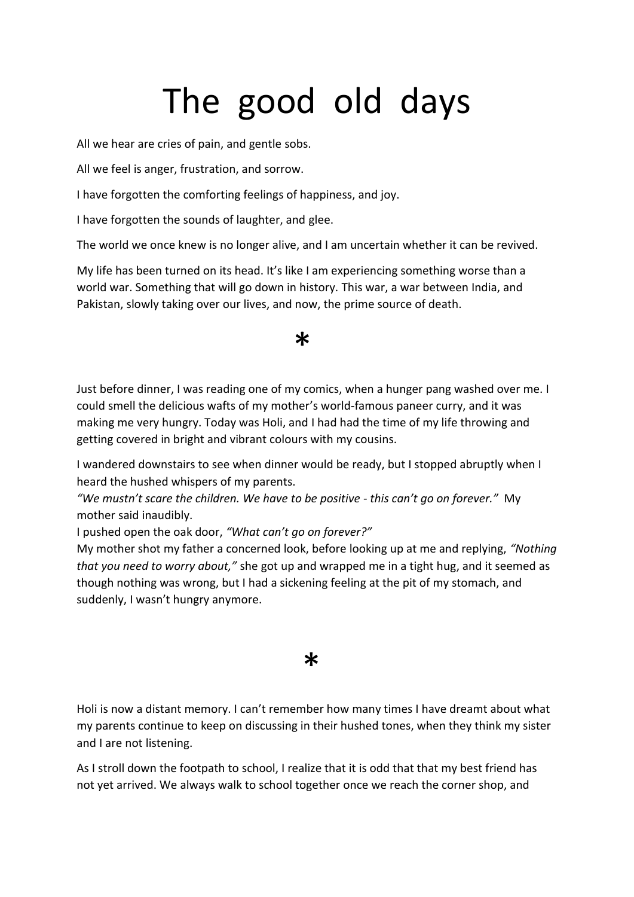# The good old days

All we hear are cries of pain, and gentle sobs.

All we feel is anger, frustration, and sorrow.

I have forgotten the comforting feelings of happiness, and joy.

I have forgotten the sounds of laughter, and glee.

The world we once knew is no longer alive, and I am uncertain whether it can be revived.

My life has been turned on its head. It's like I am experiencing something worse than a world war. Something that will go down in history. This war, a war between India, and Pakistan, slowly taking over our lives, and now, the prime source of death.

## \*

Just before dinner, I was reading one of my comics, when a hunger pang washed over me. I could smell the delicious wafts of my mother's world-famous paneer curry, and it was making me very hungry. Today was Holi, and I had had the time of my life throwing and getting covered in bright and vibrant colours with my cousins.

I wandered downstairs to see when dinner would be ready, but I stopped abruptly when I heard the hushed whispers of my parents.

*"We mustn't scare the children. We have to be positive - this can't go on forever."* My mother said inaudibly.

I pushed open the oak door, *"What can't go on forever?"* 

My mother shot my father a concerned look, before looking up at me and replying, *"Nothing that you need to worry about,"* she got up and wrapped me in a tight hug, and it seemed as though nothing was wrong, but I had a sickening feeling at the pit of my stomach, and suddenly, I wasn't hungry anymore.

## \*

Holi is now a distant memory. I can't remember how many times I have dreamt about what my parents continue to keep on discussing in their hushed tones, when they think my sister and I are not listening.

As I stroll down the footpath to school, I realize that it is odd that that my best friend has not yet arrived. We always walk to school together once we reach the corner shop, and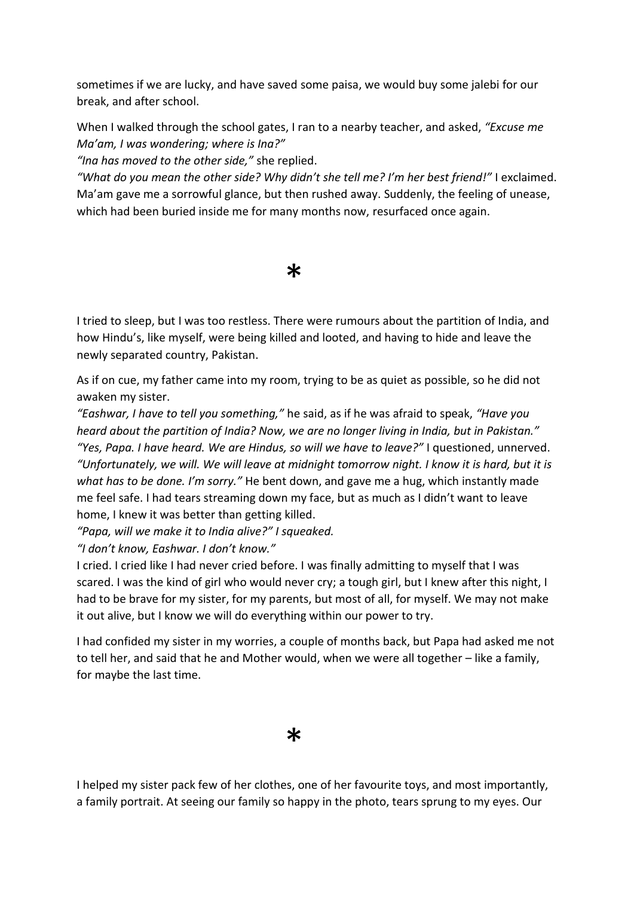sometimes if we are lucky, and have saved some paisa, we would buy some jalebi for our break, and after school.

When I walked through the school gates, I ran to a nearby teacher, and asked, *"Excuse me Ma'am, I was wondering; where is Ina?"*

*"Ina has moved to the other side,"* she replied.

*"What do you mean the other side? Why didn't she tell me? I'm her best friend!"* I exclaimed. Ma'am gave me a sorrowful glance, but then rushed away. Suddenly, the feeling of unease, which had been buried inside me for many months now, resurfaced once again.

## $\star$

I tried to sleep, but I was too restless. There were rumours about the partition of India, and how Hindu's, like myself, were being killed and looted, and having to hide and leave the newly separated country, Pakistan.

As if on cue, my father came into my room, trying to be as quiet as possible, so he did not awaken my sister.

*"Eashwar, I have to tell you something,"* he said, as if he was afraid to speak, *"Have you heard about the partition of India? Now, we are no longer living in India, but in Pakistan." "Yes, Papa. I have heard. We are Hindus, so will we have to leave?"* I questioned, unnerved. *"Unfortunately, we will. We will leave at midnight tomorrow night. I know it is hard, but it is what has to be done. I'm sorry."* He bent down, and gave me a hug, which instantly made me feel safe. I had tears streaming down my face, but as much as I didn't want to leave home, I knew it was better than getting killed.

*"Papa, will we make it to India alive?" I squeaked.*

*"I don't know, Eashwar. I don't know."*

I cried. I cried like I had never cried before. I was finally admitting to myself that I was scared. I was the kind of girl who would never cry; a tough girl, but I knew after this night, I had to be brave for my sister, for my parents, but most of all, for myself. We may not make it out alive, but I know we will do everything within our power to try.

I had confided my sister in my worries, a couple of months back, but Papa had asked me not to tell her, and said that he and Mother would, when we were all together – like a family, for maybe the last time.

## $\star$

I helped my sister pack few of her clothes, one of her favourite toys, and most importantly, a family portrait. At seeing our family so happy in the photo, tears sprung to my eyes. Our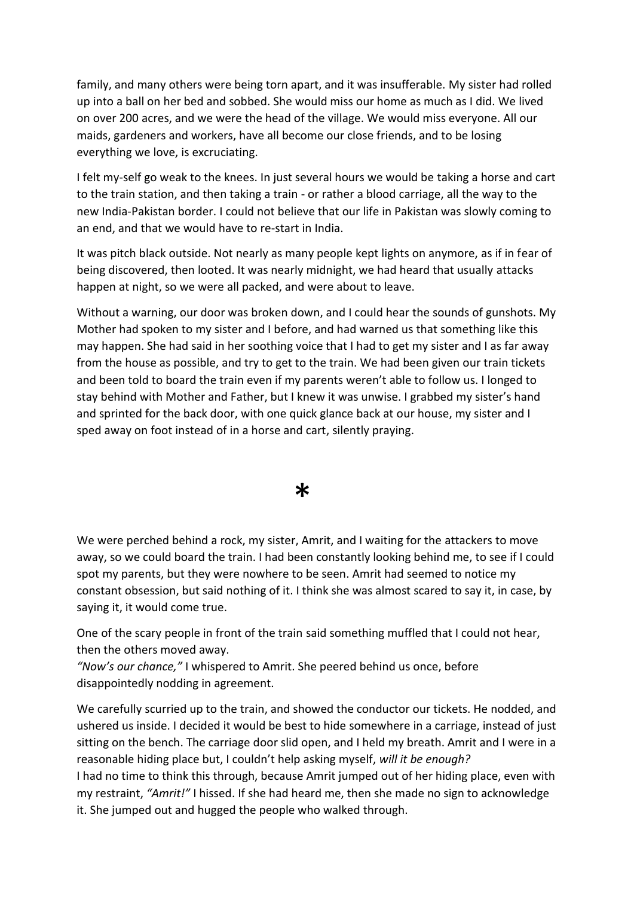family, and many others were being torn apart, and it was insufferable. My sister had rolled up into a ball on her bed and sobbed. She would miss our home as much as I did. We lived on over 200 acres, and we were the head of the village. We would miss everyone. All our maids, gardeners and workers, have all become our close friends, and to be losing everything we love, is excruciating.

I felt my-self go weak to the knees. In just several hours we would be taking a horse and cart to the train station, and then taking a train - or rather a blood carriage, all the way to the new India-Pakistan border. I could not believe that our life in Pakistan was slowly coming to an end, and that we would have to re-start in India.

It was pitch black outside. Not nearly as many people kept lights on anymore, as if in fear of being discovered, then looted. It was nearly midnight, we had heard that usually attacks happen at night, so we were all packed, and were about to leave.

Without a warning, our door was broken down, and I could hear the sounds of gunshots. My Mother had spoken to my sister and I before, and had warned us that something like this may happen. She had said in her soothing voice that I had to get my sister and I as far away from the house as possible, and try to get to the train. We had been given our train tickets and been told to board the train even if my parents weren't able to follow us. I longed to stay behind with Mother and Father, but I knew it was unwise. I grabbed my sister's hand and sprinted for the back door, with one quick glance back at our house, my sister and I sped away on foot instead of in a horse and cart, silently praying.



We were perched behind a rock, my sister, Amrit, and I waiting for the attackers to move away, so we could board the train. I had been constantly looking behind me, to see if I could spot my parents, but they were nowhere to be seen. Amrit had seemed to notice my constant obsession, but said nothing of it. I think she was almost scared to say it, in case, by saying it, it would come true.

One of the scary people in front of the train said something muffled that I could not hear, then the others moved away.

*"Now's our chance,"* I whispered to Amrit. She peered behind us once, before disappointedly nodding in agreement.

We carefully scurried up to the train, and showed the conductor our tickets. He nodded, and ushered us inside. I decided it would be best to hide somewhere in a carriage, instead of just sitting on the bench. The carriage door slid open, and I held my breath. Amrit and I were in a reasonable hiding place but, I couldn't help asking myself, *will it be enough?* I had no time to think this through, because Amrit jumped out of her hiding place, even with my restraint, *"Amrit!"* I hissed. If she had heard me, then she made no sign to acknowledge

it. She jumped out and hugged the people who walked through.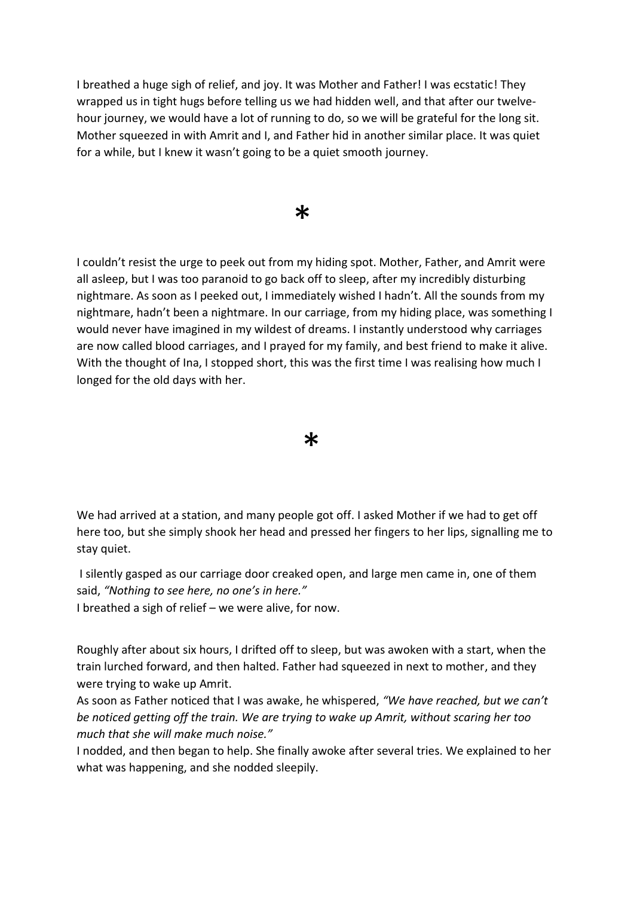I breathed a huge sigh of relief, and joy. It was Mother and Father! I was ecstatic! They wrapped us in tight hugs before telling us we had hidden well, and that after our twelvehour journey, we would have a lot of running to do, so we will be grateful for the long sit. Mother squeezed in with Amrit and I, and Father hid in another similar place. It was quiet for a while, but I knew it wasn't going to be a quiet smooth journey.

## \*

I couldn't resist the urge to peek out from my hiding spot. Mother, Father, and Amrit were all asleep, but I was too paranoid to go back off to sleep, after my incredibly disturbing nightmare. As soon as I peeked out, I immediately wished I hadn't. All the sounds from my nightmare, hadn't been a nightmare. In our carriage, from my hiding place, was something I would never have imagined in my wildest of dreams. I instantly understood why carriages are now called blood carriages, and I prayed for my family, and best friend to make it alive. With the thought of Ina, I stopped short, this was the first time I was realising how much I longed for the old days with her.

## \*

We had arrived at a station, and many people got off. I asked Mother if we had to get off here too, but she simply shook her head and pressed her fingers to her lips, signalling me to stay quiet.

I silently gasped as our carriage door creaked open, and large men came in, one of them said, *"Nothing to see here, no one's in here."* I breathed a sigh of relief – we were alive, for now.

Roughly after about six hours, I drifted off to sleep, but was awoken with a start, when the train lurched forward, and then halted. Father had squeezed in next to mother, and they were trying to wake up Amrit.

As soon as Father noticed that I was awake, he whispered, *"We have reached, but we can't be noticed getting off the train. We are trying to wake up Amrit, without scaring her too much that she will make much noise."*

I nodded, and then began to help. She finally awoke after several tries. We explained to her what was happening, and she nodded sleepily.